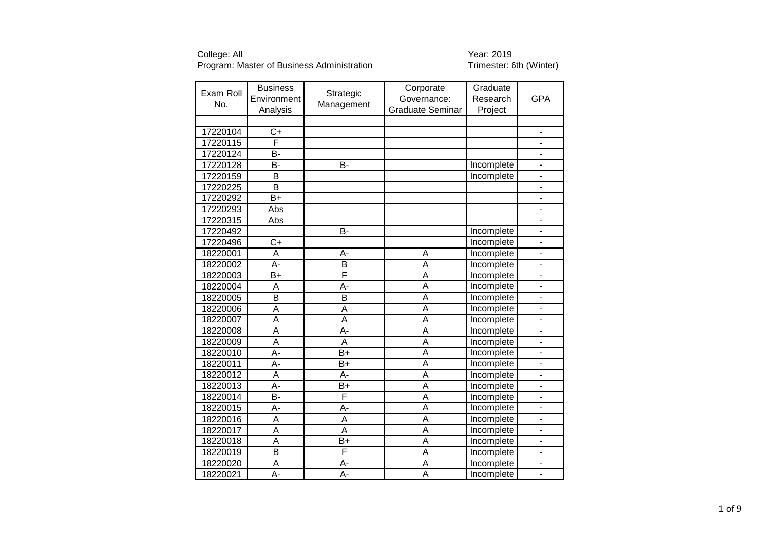| Exam Roll | <b>Business</b>         | Strategic        | Corporate               | Graduate   |                              |
|-----------|-------------------------|------------------|-------------------------|------------|------------------------------|
| No.       | Environment             | Management       | Governance:             | Research   | <b>GPA</b>                   |
|           | Analysis                |                  | <b>Graduate Seminar</b> | Project    |                              |
|           |                         |                  |                         |            |                              |
| 17220104  | $C+$                    |                  |                         |            | $\qquad \qquad \blacksquare$ |
| 17220115  | F                       |                  |                         |            | $\qquad \qquad \blacksquare$ |
| 17220124  | B-                      |                  |                         |            | $\overline{\phantom{0}}$     |
| 17220128  | B-                      | B-               |                         | Incomplete | ÷,                           |
| 17220159  | B                       |                  |                         | Incomplete | $\overline{\phantom{0}}$     |
| 17220225  | $\overline{\mathsf{B}}$ |                  |                         |            | ÷,                           |
| 17220292  | $B+$                    |                  |                         |            | -                            |
| 17220293  | Abs                     |                  |                         |            | $\overline{\phantom{m}}$     |
| 17220315  | Abs                     |                  |                         |            | ÷,                           |
| 17220492  |                         | B-               |                         | Incomplete | ٠                            |
| 17220496  | $C+$                    |                  |                         | Incomplete | $\overline{\phantom{0}}$     |
| 18220001  | A                       | A-               | A                       | Incomplete | ÷                            |
| 18220002  | A-                      | B                | Ā                       | Incomplete | -                            |
| 18220003  | $B+$                    | F                | A                       | Incomplete | $\overline{\phantom{0}}$     |
| 18220004  | A                       | A-               | Ā                       | Incomplete | $\qquad \qquad \blacksquare$ |
| 18220005  | B                       | B                | A                       | Incomplete | $\blacksquare$               |
| 18220006  | A                       | A                | A                       | Incomplete | L.                           |
| 18220007  | A                       | A                | A                       | Incomplete | $\blacksquare$               |
| 18220008  | A                       | A-               | A                       | Incomplete | L,                           |
| 18220009  | $\overline{\mathsf{A}}$ | A                | A                       | Incomplete |                              |
| 18220010  | A-                      | $B+$             | Ā                       | Incomplete |                              |
| 18220011  | A-                      | $B+$             | Ā                       | Incomplete | ÷,                           |
| 18220012  | $\overline{\mathsf{A}}$ | A-               | $\overline{\mathsf{A}}$ | Incomplete | ÷,                           |
| 18220013  | A-                      | $B+$             | A                       | Incomplete |                              |
| 18220014  | <b>B-</b>               | F                | $\overline{\mathsf{A}}$ | Incomplete | $\overline{\phantom{m}}$     |
| 18220015  | A-                      | A-               | Α                       | Incomplete | $\qquad \qquad \blacksquare$ |
| 18220016  | A                       | A                | Ā                       | Incomplete | ٠                            |
| 18220017  | A                       | A                | A                       | Incomplete | $\qquad \qquad \blacksquare$ |
| 18220018  | A                       | $B+$             | A                       | Incomplete | $\overline{\phantom{a}}$     |
| 18220019  | $\overline{\mathsf{B}}$ | F                | $\overline{\mathsf{A}}$ | Incomplete | ÷,                           |
| 18220020  | A                       | А-               | A                       | Incomplete | $\overline{\phantom{0}}$     |
| 18220021  | Ā-                      | $\overline{A}$ - | A                       | Incomplete |                              |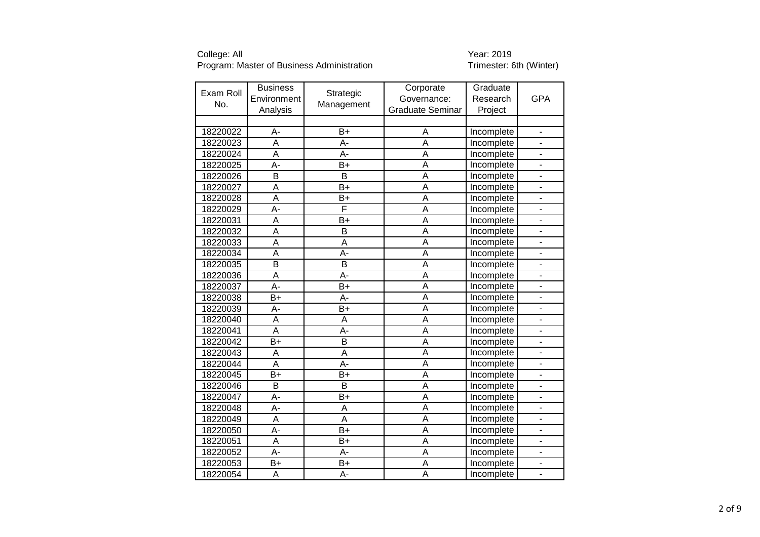| Exam Roll | <b>Business</b>         | Strategic               | Corporate               | Graduate   |                              |
|-----------|-------------------------|-------------------------|-------------------------|------------|------------------------------|
| No.       | Environment             | Management              | Governance:             | Research   | <b>GPA</b>                   |
|           | Analysis                |                         | <b>Graduate Seminar</b> | Project    |                              |
|           |                         |                         |                         |            |                              |
| 18220022  | A-                      | $B+$                    | A                       | Incomplete | $\blacksquare$               |
| 18220023  | A                       | A-                      | A                       | Incomplete | ÷,                           |
| 18220024  | A                       | A-                      | $\overline{A}$          | Incomplete | $\overline{\phantom{0}}$     |
| 18220025  | A-                      | $B+$                    | A                       | Incomplete | L.                           |
| 18220026  | $\overline{\mathsf{B}}$ | $\overline{\mathsf{B}}$ | $\overline{A}$          | Incomplete | ÷,                           |
| 18220027  | $\overline{A}$          | $B+$                    | $\overline{A}$          | Incomplete | $\overline{a}$               |
| 18220028  | A                       | $B+$                    | A                       | Incomplete |                              |
| 18220029  | $\overline{A}$ -        | F                       | $\overline{A}$          | Incomplete |                              |
| 18220031  | $\overline{\mathsf{A}}$ | $B+$                    | $\overline{A}$          | Incomplete | L,                           |
| 18220032  | $\overline{\mathsf{A}}$ | $\overline{B}$          | $\overline{\mathsf{A}}$ | Incomplete |                              |
| 18220033  | A                       | A                       | A                       | Incomplete |                              |
| 18220034  | $\overline{\mathsf{A}}$ | A-                      | $\overline{\mathsf{A}}$ | Incomplete | ÷,                           |
| 18220035  | B                       | B                       | A                       | Incomplete | -                            |
| 18220036  | A                       | A-                      | A                       | Incomplete | $\qquad \qquad \blacksquare$ |
| 18220037  | $\overline{A}$ -        | $B+$                    | $\overline{A}$          | Incomplete | $\frac{1}{2}$                |
| 18220038  | $B+$                    | A-                      | A                       | Incomplete | $\overline{\phantom{0}}$     |
| 18220039  | A-                      | $B+$                    | A                       | Incomplete | ÷,                           |
| 18220040  | A                       | A                       | $\overline{A}$          | Incomplete | L,                           |
| 18220041  | $\overline{A}$          | A-                      | $\overline{A}$          | Incomplete | ÷,                           |
| 18220042  | $B+$                    | B                       | A                       | Incomplete |                              |
| 18220043  | A                       | $\overline{A}$          | $\overline{\mathsf{A}}$ | Incomplete | $\overline{a}$               |
| 18220044  | $\overline{A}$          | $\overline{A}$ -        | $\overline{A}$          | Incomplete | $\overline{a}$               |
| 18220045  | $\overline{B+}$         | $\overline{B+}$         | $\overline{\mathsf{A}}$ | Incomplete | ÷,                           |
| 18220046  | B                       | B                       | $\overline{A}$          | Incomplete | ÷,                           |
| 18220047  | A-                      | $B+$                    | $\overline{A}$          | Incomplete | -                            |
| 18220048  | $\overline{A}$          | A                       | $\overline{A}$          | Incomplete | -                            |
| 18220049  | A                       | A                       | A                       | Incomplete | ÷,                           |
| 18220050  | $A -$                   | $B+$                    | A                       | Incomplete | $\qquad \qquad \blacksquare$ |
| 18220051  | $\overline{A}$          | $B+$                    | A                       | Incomplete | ÷,                           |
| 18220052  | $\overline{A}$          | A-                      | $\overline{A}$          | Incomplete | ÷,                           |
| 18220053  | $B+$                    | $B+$                    | A                       | Incomplete | $\overline{\phantom{0}}$     |
| 18220054  | A                       | A-                      | $\overline{A}$          | Incomplete | ÷,                           |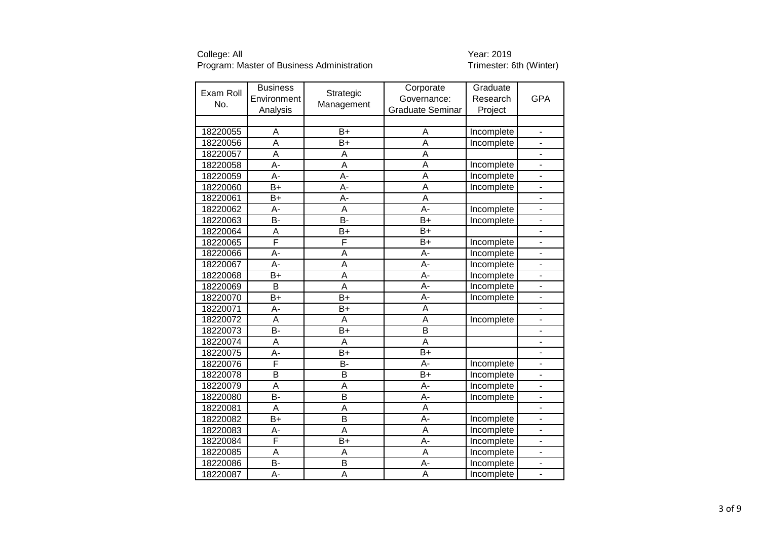| Exam Roll | <b>Business</b>         |                         | Corporate               | Graduate   |                              |
|-----------|-------------------------|-------------------------|-------------------------|------------|------------------------------|
|           | Environment             | Strategic               | Governance:             | Research   | <b>GPA</b>                   |
| No.       | Analysis                | Management              | <b>Graduate Seminar</b> | Project    |                              |
|           |                         |                         |                         |            |                              |
| 18220055  | A                       | $B+$                    | A                       | Incomplete | $\blacksquare$               |
| 18220056  | A                       | $B+$                    | A                       | Incomplete | $\overline{\phantom{m}}$     |
| 18220057  | $\overline{\mathsf{A}}$ | Α                       | $\overline{A}$          |            | $\overline{\phantom{0}}$     |
| 18220058  | $\overline{A}$          | $\overline{\mathsf{A}}$ | $\overline{A}$          | Incomplete | $\overline{a}$               |
| 18220059  | A-                      | A-                      | A                       | Incomplete |                              |
| 18220060  | $B+$                    | A-                      | $\overline{\mathsf{A}}$ | Incomplete | ÷,                           |
| 18220061  | $B+$                    | A-                      | $\overline{A}$          |            | $\overline{\phantom{0}}$     |
| 18220062  | A-                      | $\overline{\mathsf{A}}$ | $A -$                   | Incomplete | $\frac{1}{2}$                |
| 18220063  | B-                      | $\overline{B}$          | $B+$                    | Incomplete | $\blacksquare$               |
| 18220064  | Α                       | B+                      | $\overline{B+}$         |            | $\overline{\phantom{0}}$     |
| 18220065  | Ē                       | $\overline{\mathsf{F}}$ | $B+$                    | Incomplete | $\qquad \qquad \blacksquare$ |
| 18220066  | A-                      | A                       | $\overline{A}$ -        | Incomplete | -                            |
| 18220067  | A-                      | A                       | A-                      | Incomplete | $\blacksquare$               |
| 18220068  | $\overline{B+}$         | $\overline{\mathsf{A}}$ | A-                      | Incomplete | $\blacksquare$               |
| 18220069  | $\overline{\mathsf{B}}$ | $\overline{\mathsf{A}}$ | $\overline{A}$ -        | Incomplete | $\frac{1}{2}$                |
| 18220070  | $B+$                    | $B+$                    | A-                      | Incomplete | $\blacksquare$               |
| 18220071  | A-                      | $B+$                    | $\overline{A}$          |            | $\overline{\phantom{0}}$     |
| 18220072  | $\overline{\mathsf{A}}$ | A                       | $\overline{A}$          | Incomplete | $\overline{\phantom{a}}$     |
| 18220073  | <b>B-</b>               | $B+$                    | $\overline{\mathsf{B}}$ |            | ÷,                           |
| 18220074  | A                       | A                       | A                       |            | $\blacksquare$               |
| 18220075  | $\overline{A}$ -        | $\overline{B+}$         | $\overline{B+}$         |            |                              |
| 18220076  | F                       | B-                      | A-                      | Incomplete | $\overline{\phantom{a}}$     |
| 18220078  | $\overline{\mathsf{B}}$ | B                       | $B+$                    | Incomplete | $\overline{\phantom{0}}$     |
| 18220079  | $\overline{\mathsf{A}}$ | A                       | A-                      | Incomplete | $\blacksquare$               |
| 18220080  | <b>B-</b>               | B                       | A-                      | Incomplete | -                            |
| 18220081  | A                       | A                       | A                       |            | $\overline{\phantom{0}}$     |
| 18220082  | $B+$                    | $\overline{\mathsf{B}}$ | A-                      | Incomplete | $\blacksquare$               |
| 18220083  | A-                      | A                       | A                       | Incomplete | $\blacksquare$               |
| 18220084  | F                       | $B+$                    | A-                      | Incomplete | ä,                           |
| 18220085  | $\overline{\mathsf{A}}$ | A                       | A                       | Incomplete | $\overline{a}$               |
| 18220086  | B-                      | B                       | A-                      | Incomplete | $\overline{\phantom{0}}$     |
| 18220087  | A-                      | $\overline{\mathsf{A}}$ | A                       | Incomplete |                              |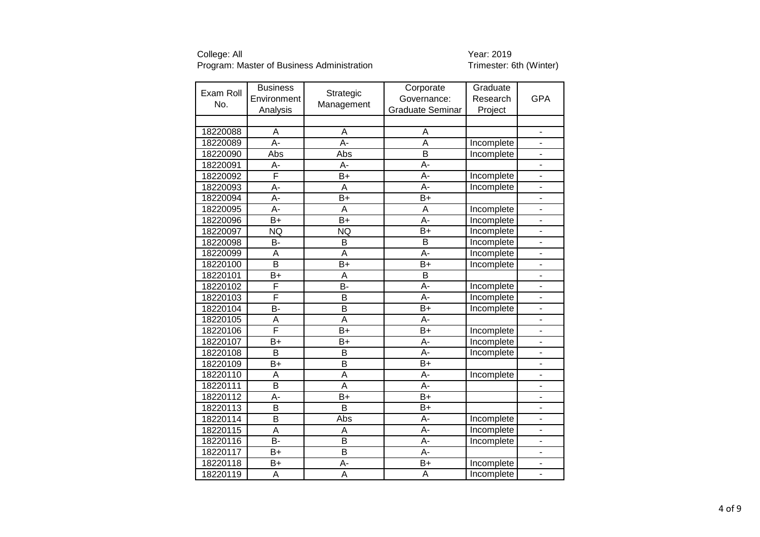| Exam Roll | <b>Business</b>         | Strategic               | Corporate               | Graduate   |                              |
|-----------|-------------------------|-------------------------|-------------------------|------------|------------------------------|
| No.       | Environment             | Management              | Governance:             | Research   | <b>GPA</b>                   |
|           | Analysis                |                         | <b>Graduate Seminar</b> | Project    |                              |
|           |                         |                         |                         |            |                              |
| 18220088  | A                       | A                       | A                       |            | $\blacksquare$               |
| 18220089  | $A -$                   | $\overline{A}$ -        | A                       | Incomplete | ÷,                           |
| 18220090  | Abs                     | Abs                     | $\overline{\mathsf{B}}$ | Incomplete | $\overline{\phantom{0}}$     |
| 18220091  | A-                      | A-                      | A-                      |            | $\overline{\phantom{0}}$     |
| 18220092  | F                       | $B+$                    | A-                      | Incomplete | $\overline{a}$               |
| 18220093  | A-                      | A                       | Ā-                      | Incomplete | $\frac{1}{2}$                |
| 18220094  | A-                      | B+                      | B+                      |            | $\overline{a}$               |
| 18220095  | $A -$                   | A                       | A                       | Incomplete | $\overline{\phantom{a}}$     |
| 18220096  | $B+$                    | $B+$                    | $A -$                   | Incomplete | $\overline{\phantom{a}}$     |
| 18220097  | <b>NQ</b>               | <b>NQ</b>               | $\overline{B}$          | Incomplete | ÷,                           |
| 18220098  | <b>B-</b>               | B                       | B                       | Incomplete | $\qquad \qquad \blacksquare$ |
| 18220099  | A                       | A                       | A-                      | Incomplete | $\qquad \qquad \blacksquare$ |
| 18220100  | $\overline{\mathsf{B}}$ | B+                      | $\overline{B+}$         | Incomplete | $\overline{\phantom{0}}$     |
| 18220101  | $B+$                    | A                       | $\overline{B}$          |            | $\blacksquare$               |
| 18220102  | F                       | $\overline{B}$          | A-                      | Incomplete | $\frac{1}{2}$                |
| 18220103  | F                       | B                       | A-                      | Incomplete | $\overline{\phantom{0}}$     |
| 18220104  | B-                      | B                       | B+                      | Incomplete | $\blacksquare$               |
| 18220105  | $\overline{\mathsf{A}}$ | $\overline{\mathsf{A}}$ | $\overline{A}$ -        |            | $\overline{\phantom{0}}$     |
| 18220106  | F                       | $B+$                    | $B+$                    | Incomplete |                              |
| 18220107  | $B+$                    | $B+$                    | A-                      | Incomplete | $\overline{\phantom{0}}$     |
| 18220108  | $\overline{\mathsf{B}}$ | B                       | $\overline{A}$ -        | Incomplete | ÷,                           |
| 18220109  | $B+$                    | B                       | B+                      |            | $\qquad \qquad \blacksquare$ |
| 18220110  | A                       | $\overline{A}$          | A-                      | Incomplete | ٠                            |
| 18220111  | B                       | A                       | A-                      |            | $\overline{\phantom{m}}$     |
| 18220112  | A-                      | $B+$                    | $B+$                    |            | -                            |
| 18220113  | B                       | B                       | $B+$                    |            | $\overline{\phantom{a}}$     |
| 18220114  | $\overline{\mathsf{B}}$ | Abs                     | A-                      | Incomplete | $\blacksquare$               |
| 18220115  | A                       | A                       | A-                      | Incomplete | $\blacksquare$               |
| 18220116  | $\overline{B}$          | B                       | A-                      | Incomplete | ÷.                           |
| 18220117  | $B+$                    | $\overline{\mathsf{B}}$ | A-                      |            | ÷,                           |
| 18220118  | B+                      | A-                      | B+                      | Incomplete | $\frac{1}{2}$                |
| 18220119  | A                       | A                       | A                       | Incomplete |                              |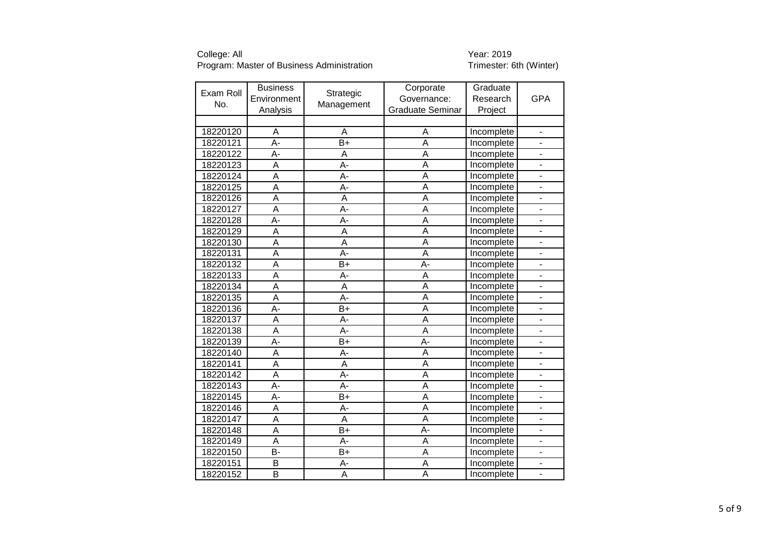| Exam Roll | <b>Business</b>         |                  | Corporate               | Graduate          |                              |
|-----------|-------------------------|------------------|-------------------------|-------------------|------------------------------|
|           | Environment             | Strategic        | Governance:             | Research          | <b>GPA</b>                   |
| No.       | Analysis                | Management       | <b>Graduate Seminar</b> | Project           |                              |
|           |                         |                  |                         |                   |                              |
| 18220120  | A                       | A                | A                       | Incomplete        | $\blacksquare$               |
| 18220121  | A-                      | $B+$             | A                       | Incomplete        | ä,                           |
| 18220122  | A-                      | A                | $\overline{\mathsf{A}}$ | Incomplete        | $\overline{\phantom{0}}$     |
| 18220123  | $\overline{A}$          | $\overline{A}$   | $\overline{\mathsf{A}}$ | Incomplete        | $\overline{\phantom{a}}$     |
| 18220124  | $\overline{\mathsf{A}}$ | $\overline{A}$   | A                       | Incomplete        |                              |
| 18220125  | A                       | A-               | Ā                       | Incomplete        |                              |
| 18220126  | A                       | A                | Ā                       | Incomplete        | -                            |
| 18220127  | $\overline{\mathsf{A}}$ | $\overline{A}$ - | $\overline{\mathsf{A}}$ | Incomplete        | $\overline{\phantom{a}}$     |
| 18220128  | A-                      | A-               | Ā                       | Incomplete        | ۰                            |
| 18220129  | A                       | A                | $\overline{\mathsf{A}}$ | Incomplete        | -                            |
| 18220130  | A                       | A                | A                       | Incomplete        | -                            |
| 18220131  | $\overline{\mathsf{A}}$ | $\overline{A}$   | $\overline{\mathsf{A}}$ | Incomplete        | -                            |
| 18220132  | A                       | $B+$             | A-                      | Incomplete        | ÷,                           |
| 18220133  | $\overline{\mathsf{A}}$ | A-               | A                       | Incomplete        | $\frac{1}{2}$                |
| 18220134  | $\overline{\mathsf{A}}$ | A                | $\overline{\mathsf{A}}$ | <b>Incomplete</b> | $\blacksquare$               |
| 18220135  | A                       | A-               | A                       | Incomplete        | ÷,                           |
| 18220136  | $\overline{A}$ -        | $\overline{B+}$  | $\overline{\mathsf{A}}$ | Incomplete        | $\overline{a}$               |
| 18220137  | $\overline{\mathsf{A}}$ | A-               | Ā                       | Incomplete        | $\overline{a}$               |
| 18220138  | A                       | A-               | $\overline{\mathsf{A}}$ | Incomplete        |                              |
| 18220139  | A-                      | $B+$             | A-                      | Incomplete        | ÷,                           |
| 18220140  | $\overline{\mathsf{A}}$ | A-               | $\overline{\mathsf{A}}$ | Incomplete        | $\overline{a}$               |
| 18220141  | A                       | A                | $\overline{\mathsf{A}}$ | Incomplete        | ÷,                           |
| 18220142  | $\overline{\mathsf{A}}$ | $\overline{A}$ - | A                       | Incomplete        |                              |
| 18220143  | $\overline{A}$ -        | $\overline{A}$ - | Ā                       | Incomplete        | $\overline{a}$               |
| 18220145  | A-                      | $B+$             | A                       | Incomplete        | -                            |
| 18220146  | A                       | А-               | A                       | Incomplete        | $\overline{\phantom{0}}$     |
| 18220147  | A                       | $\overline{A}$   | A                       | Incomplete        | $\qquad \qquad \blacksquare$ |
| 18220148  | A                       | $B+$             | A-                      | Incomplete        | $\overline{\phantom{0}}$     |
| 18220149  | A                       | A-               | A                       | Incomplete        | L.                           |
| 18220150  | B-                      | $B+$             | $\overline{\mathsf{A}}$ | Incomplete        | $\overline{\phantom{0}}$     |
| 18220151  | B                       | А-               | A                       | Incomplete        | $\overline{\phantom{0}}$     |
| 18220152  | $\overline{\mathsf{B}}$ | A                | A                       | Incomplete        |                              |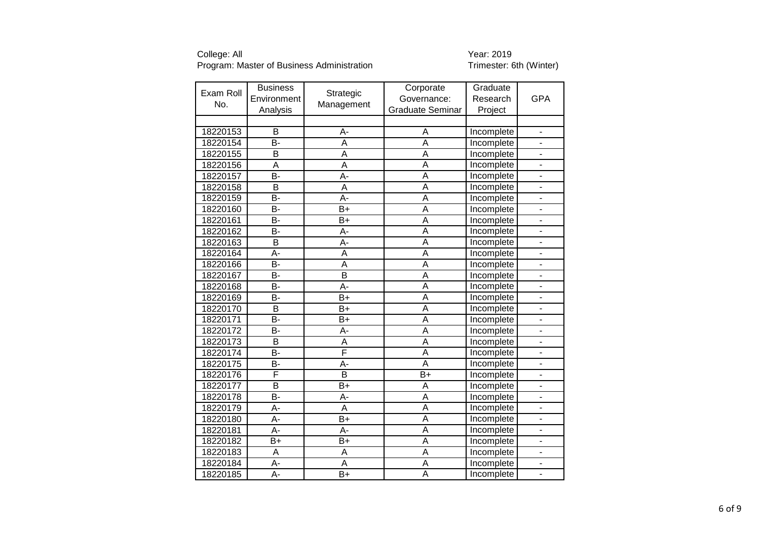| Exam Roll | <b>Business</b>         |                         | Corporate               | Graduate          |                              |
|-----------|-------------------------|-------------------------|-------------------------|-------------------|------------------------------|
|           | Environment             | Strategic               | Governance:             | Research          | <b>GPA</b>                   |
| No.       | Analysis                | Management              | <b>Graduate Seminar</b> | Project           |                              |
|           |                         |                         |                         |                   |                              |
| 18220153  | B                       | A-                      | A                       | Incomplete        | $\blacksquare$               |
| 18220154  | B-                      | A                       | A                       | Incomplete        | ÷,                           |
| 18220155  | B                       | A                       | $\overline{\mathsf{A}}$ | Incomplete        | ÷,                           |
| 18220156  | $\overline{\mathsf{A}}$ | $\overline{\mathsf{A}}$ | $\overline{\mathsf{A}}$ | Incomplete        | $\overline{a}$               |
| 18220157  | $\overline{B}$          | A-                      | $\overline{A}$          | Incomplete        | -                            |
| 18220158  | B                       | A                       | $\overline{A}$          | Incomplete        | $\overline{\phantom{0}}$     |
| 18220159  | <b>B-</b>               | A-                      | Ā                       | Incomplete        | $\blacksquare$               |
| 18220160  | $\overline{B}$          | $B+$                    | $\overline{\mathsf{A}}$ | Incomplete        | $\frac{1}{2}$                |
| 18220161  | <b>B-</b>               | $B+$                    | Ā                       | Incomplete        | ÷,                           |
| 18220162  | B-                      | A-                      | Ā                       | Incomplete        | -                            |
| 18220163  | B                       | A-                      | A                       | Incomplete        | $\blacksquare$               |
| 18220164  | A-                      | A                       | Ā                       | Incomplete        | $\overline{\phantom{0}}$     |
| 18220166  | B-                      | A                       | A                       | Incomplete        | $\blacksquare$               |
| 18220167  | $\overline{B}$          | $\overline{\mathsf{B}}$ | A                       | Incomplete        | $\blacksquare$               |
| 18220168  | B-                      | A-                      | $\overline{\mathsf{A}}$ | <b>Incomplete</b> | $\frac{1}{2}$                |
| 18220169  | <b>B-</b>               | $B+$                    | A                       | Incomplete        | $\overline{\phantom{0}}$     |
| 18220170  | $\overline{\mathsf{B}}$ | B+                      | $\overline{\mathsf{A}}$ | Incomplete        | $\frac{1}{2}$                |
| 18220171  | B-                      | B+                      | Ā                       | Incomplete        | $\overline{a}$               |
| 18220172  | B-                      | A-                      | $\overline{\mathsf{A}}$ | Incomplete        |                              |
| 18220173  | B                       | A                       | A                       | Incomplete        | $\overline{\phantom{0}}$     |
| 18220174  | $\overline{B}$          | F                       | Ā                       | Incomplete        | $\overline{a}$               |
| 18220175  | B-                      | A-                      | $\overline{A}$          | Incomplete        | ÷,                           |
| 18220176  | F                       | $\overline{B}$          | $\overline{B+}$         | Incomplete        | ٠                            |
| 18220177  | $\overline{B}$          | B+                      | A                       | Incomplete        | $\qquad \qquad \blacksquare$ |
| 18220178  | <b>B-</b>               | A-                      | A                       | Incomplete        | -                            |
| 18220179  | A-                      | A                       | A                       | Incomplete        | $\qquad \qquad \blacksquare$ |
| 18220180  | A-                      | $B+$                    | A                       | Incomplete        | $\qquad \qquad \blacksquare$ |
| 18220181  | A-                      | A-                      | A                       | Incomplete        | $\blacksquare$               |
| 18220182  | $B+$                    | $B+$                    | A                       | Incomplete        | L.                           |
| 18220183  | A                       | A                       | Ā                       | Incomplete        | $\blacksquare$               |
| 18220184  | A-                      | A                       | A                       | Incomplete        | $\overline{a}$               |
| 18220185  | A-                      | $B+$                    | $\overline{\mathsf{A}}$ | Incomplete        |                              |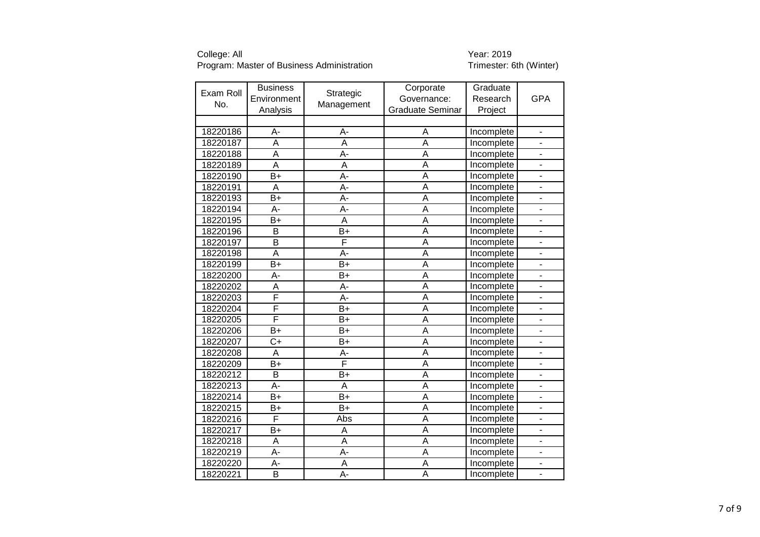| Exam Roll | <b>Business</b>         | Strategic               | Corporate               | Graduate   |                              |
|-----------|-------------------------|-------------------------|-------------------------|------------|------------------------------|
| No.       | Environment             | Management              | Governance:             | Research   | <b>GPA</b>                   |
|           | Analysis                |                         | <b>Graduate Seminar</b> | Project    |                              |
|           |                         |                         |                         |            |                              |
| 18220186  | A-                      | A-                      | A                       | Incomplete | $\blacksquare$               |
| 18220187  | $\overline{\mathsf{A}}$ | A                       | A                       | Incomplete |                              |
| 18220188  | $\overline{\mathsf{A}}$ | A-                      | $\overline{\mathsf{A}}$ | Incomplete | $\blacksquare$               |
| 18220189  | $\overline{\mathsf{A}}$ | A                       | $\overline{\mathsf{A}}$ | Incomplete | $\overline{a}$               |
| 18220190  | $B+$                    | $\overline{A}$          | A                       | Incomplete |                              |
| 18220191  | A                       | A-                      | A                       | Incomplete |                              |
| 18220193  | $\overline{B+}$         | $\overline{A}$ -        | $\overline{\mathsf{A}}$ | Incomplete |                              |
| 18220194  | A-                      | A-                      | A                       | Incomplete | ÷,                           |
| 18220195  | $\overline{B+}$         | $\overline{\mathsf{A}}$ | Ā                       | Incomplete | ÷,                           |
| 18220196  | B                       | $B+$                    | $\overline{\mathsf{A}}$ | Incomplete | $\overline{\phantom{a}}$     |
| 18220197  | $\overline{\mathsf{B}}$ | F                       | $\overline{\mathsf{A}}$ | Incomplete | -                            |
| 18220198  | $\overline{A}$          | A-                      | Ā                       | Incomplete | ÷,                           |
| 18220199  | $B+$                    | $B+$                    | A                       | Incomplete | $\qquad \qquad \blacksquare$ |
| 18220200  | A-                      | $B+$                    | A                       | Incomplete | $\overline{\phantom{0}}$     |
| 18220202  | A                       | A-                      | $\overline{\mathsf{A}}$ | Incomplete | $\overline{\phantom{0}}$     |
| 18220203  | F                       | A-                      | A                       | Incomplete | ä,                           |
| 18220204  | F                       | $\overline{B+}$         | $\overline{\mathsf{A}}$ | Incomplete | L,                           |
| 18220205  | F                       | $B+$                    | Ā                       | Incomplete | $\overline{a}$               |
| 18220206  | $B+$                    | $B+$                    | A                       | Incomplete |                              |
| 18220207  | $\overline{C+}$         | $B+$                    | $\overline{\mathsf{A}}$ | Incomplete |                              |
| 18220208  | $\overline{A}$          | A-                      | Ā                       | Incomplete | $\overline{a}$               |
| 18220209  | $\overline{B+}$         | F                       | Ā                       | Incomplete | ÷,                           |
| 18220212  | B                       | $B+$                    | A                       | Incomplete | ÷,                           |
| 18220213  | A-                      | A                       | Ā                       | Incomplete | -                            |
| 18220214  | $B+$                    | $B+$                    | A                       | Incomplete | -                            |
| 18220215  | B+                      | $B+$                    | A                       | Incomplete | $\overline{\phantom{0}}$     |
| 18220216  | F                       | Abs                     | A                       | Incomplete | $\blacksquare$               |
| 18220217  | B+                      | A                       | A                       | Incomplete | $\overline{\phantom{0}}$     |
| 18220218  | A                       | A                       | A                       | Incomplete | L.                           |
| 18220219  | $\overline{A}$ -        | A-                      | $\overline{\mathsf{A}}$ | Incomplete | $\overline{\phantom{0}}$     |
| 18220220  | A-                      | A                       | A                       | Incomplete | $\overline{a}$               |
| 18220221  | $\overline{\mathsf{B}}$ | A-                      | A                       | Incomplete |                              |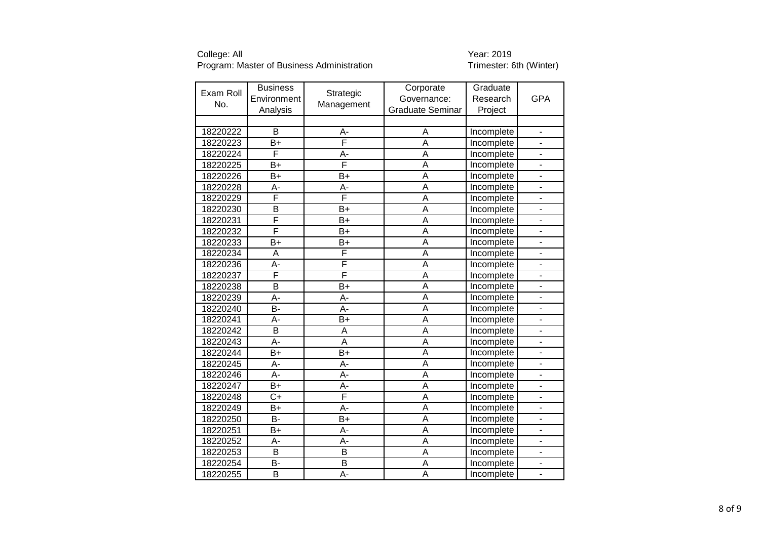| Exam Roll | <b>Business</b>         | Strategic               | Corporate               | Graduate   |                              |
|-----------|-------------------------|-------------------------|-------------------------|------------|------------------------------|
|           | Environment             |                         | Governance:             | Research   | <b>GPA</b>                   |
| No.       | Analysis                | Management              | <b>Graduate Seminar</b> | Project    |                              |
|           |                         |                         |                         |            |                              |
| 18220222  | B                       | A-                      | A                       | Incomplete | $\blacksquare$               |
| 18220223  | B+                      | F                       | A                       | Incomplete | ä,                           |
| 18220224  | F                       | A-                      | $\overline{\mathsf{A}}$ | Incomplete | L.                           |
| 18220225  | B+                      | F                       | $\overline{A}$          | Incomplete | $\overline{a}$               |
| 18220226  | $B+$                    | $B+$                    | A                       | Incomplete |                              |
| 18220228  | A-                      | A-                      | $\overline{A}$          | Incomplete | ÷,                           |
| 18220229  | F                       | F                       | $\overline{A}$          | Incomplete | $\qquad \qquad \blacksquare$ |
| 18220230  | $\overline{\mathsf{B}}$ | $B+$                    | $\overline{A}$          | Incomplete | $\frac{1}{2}$                |
| 18220231  | F                       | $B+$                    | $\overline{A}$          | Incomplete | ٠                            |
| 18220232  | F                       | $B+$                    | $\overline{\mathsf{A}}$ | Incomplete | $\overline{\phantom{0}}$     |
| 18220233  | B+                      | $B+$                    | A                       | Incomplete | $\qquad \qquad \blacksquare$ |
| 18220234  | A                       | F                       | $\overline{\mathsf{A}}$ | Incomplete | $\qquad \qquad \blacksquare$ |
| 18220236  | A-                      | F                       | A                       | Incomplete | $\overline{\phantom{a}}$     |
| 18220237  | F                       | $\overline{\mathsf{F}}$ | A                       | Incomplete | $\blacksquare$               |
| 18220238  | $\overline{\mathsf{B}}$ | $B+$                    | $\overline{\mathsf{A}}$ | Incomplete | $\frac{1}{2}$                |
| 18220239  | A-                      | A-                      | A                       | Incomplete | $\overline{\phantom{0}}$     |
| 18220240  | $\overline{B}$          | $\overline{A}$          | $\overline{A}$          | Incomplete | $\frac{1}{2}$                |
| 18220241  | A-                      | $B+$                    | Ā                       | Incomplete | $\overline{a}$               |
| 18220242  | B                       | A                       | $\overline{A}$          | Incomplete |                              |
| 18220243  | A-                      | A                       | A                       | Incomplete | $\overline{\phantom{0}}$     |
| 18220244  | $B+$                    | $\overline{B+}$         | Ā                       | Incomplete | $\overline{a}$               |
| 18220245  | A-                      | A-                      | $\overline{A}$          | Incomplete | ÷,                           |
| 18220246  | A-                      | A-                      | A                       | Incomplete | ٠                            |
| 18220247  | B+                      | A-                      | Ā                       | Incomplete | $\qquad \qquad \blacksquare$ |
| 18220248  | $C+$                    | F                       | A                       | Incomplete | -                            |
| 18220249  | $B+$                    | A-                      | A                       | Incomplete | $\overline{\phantom{0}}$     |
| 18220250  | <b>B-</b>               | $B+$                    | A                       | Incomplete | $\qquad \qquad \blacksquare$ |
| 18220251  | B+                      | A-                      | A                       | Incomplete | $\blacksquare$               |
| 18220252  | A-                      | A-                      | A                       | Incomplete | L.                           |
| 18220253  | $\overline{\mathsf{B}}$ | $\overline{\mathsf{B}}$ | $\overline{A}$          | Incomplete | $\blacksquare$               |
| 18220254  | В-                      | B                       | A                       | Incomplete | $\overline{a}$               |
| 18220255  | $\overline{\mathsf{B}}$ | A-                      | A                       | Incomplete |                              |